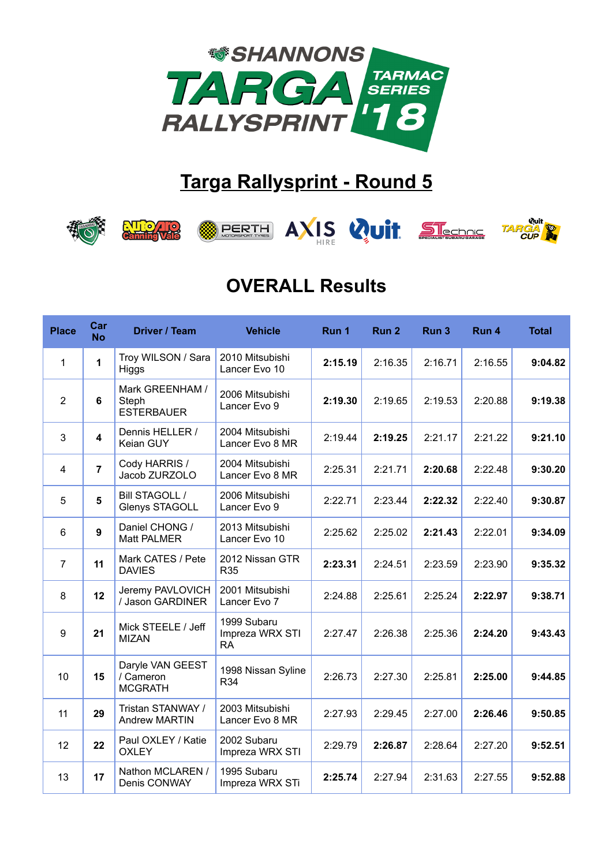

## **Targa Rallysprint - Round 5**













## OVERALL Results

| <b>Place</b>   | Car<br><b>No</b> | Driver / Team                                   | <b>Vehicle</b>                              | Run 1   | Run <sub>2</sub> | Run <sub>3</sub> | Run 4   | <b>Total</b> |
|----------------|------------------|-------------------------------------------------|---------------------------------------------|---------|------------------|------------------|---------|--------------|
| 1              | $\mathbf{1}$     | Troy WILSON / Sara<br>Higgs                     | 2010 Mitsubishi<br>Lancer Evo 10            | 2:15.19 | 2:16.35          | 2:16.71          | 2:16.55 | 9:04.82      |
| $\overline{2}$ | 6                | Mark GREENHAM /<br>Steph<br><b>ESTERBAUER</b>   | 2006 Mitsubishi<br>Lancer Evo 9             | 2:19.30 | 2:19.65          | 2:19.53          | 2:20.88 | 9:19.38      |
| 3              | 4                | Dennis HELLER /<br>Keian GUY                    | 2004 Mitsubishi<br>Lancer Evo 8 MR          | 2:19.44 | 2:19.25          | 2:21.17          | 2:21.22 | 9:21.10      |
| 4              | $\overline{7}$   | Cody HARRIS /<br>Jacob ZURZOLO                  | 2004 Mitsubishi<br>Lancer Evo 8 MR          | 2:25.31 | 2:21.71          | 2:20.68          | 2:22.48 | 9:30.20      |
| $\overline{5}$ | 5                | <b>Bill STAGOLL /</b><br>Glenys STAGOLL         | 2006 Mitsubishi<br>Lancer Evo 9             | 2:22.71 | 2:23.44          | 2:22.32          | 2:22.40 | 9:30.87      |
| 6              | $\overline{9}$   | Daniel CHONG /<br><b>Matt PALMER</b>            | 2013 Mitsubishi<br>Lancer Evo 10            | 2:25.62 | 2:25.02          | 2:21.43          | 2:22.01 | 9:34.09      |
| $\overline{7}$ | 11               | Mark CATES / Pete<br><b>DAVIES</b>              | 2012 Nissan GTR<br>R35                      | 2:23.31 | 2:24.51          | 2:23.59          | 2:23.90 | 9:35.32      |
| 8              | 12               | Jeremy PAVLOVICH<br>/ Jason GARDINER            | 2001 Mitsubishi<br>Lancer Evo 7             | 2:24.88 | 2:25.61          | 2:25.24          | 2:22.97 | 9:38.71      |
| 9              | 21               | Mick STEELE / Jeff<br><b>MIZAN</b>              | 1999 Subaru<br>Impreza WRX STI<br><b>RA</b> | 2:27.47 | 2:26.38          | 2:25.36          | 2:24.20 | 9:43.43      |
| 10             | 15               | Daryle VAN GEEST<br>/ Cameron<br><b>MCGRATH</b> | 1998 Nissan Syline<br>R34                   | 2:26.73 | 2:27.30          | 2:25.81          | 2:25.00 | 9:44.85      |
| 11             | 29               | Tristan STANWAY /<br><b>Andrew MARTIN</b>       | 2003 Mitsubishi<br>Lancer Evo 8 MR          | 2:27.93 | 2:29.45          | 2:27.00          | 2:26.46 | 9:50.85      |
| 12             | 22               | Paul OXLEY / Katie<br><b>OXLEY</b>              | 2002 Subaru<br>Impreza WRX STI              | 2:29.79 | 2:26.87          | 2:28.64          | 2:27.20 | 9:52.51      |
| 13             | 17               | Nathon MCLAREN /<br>Denis CONWAY                | 1995 Subaru<br>Impreza WRX STi              | 2:25.74 | 2:27.94          | 2:31.63          | 2:27.55 | 9:52.88      |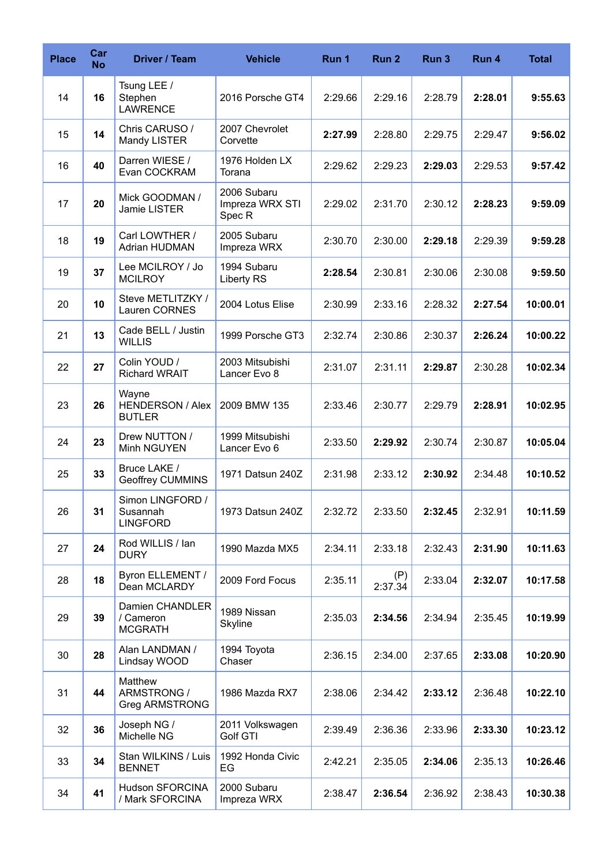| <b>Place</b> | Car<br><b>No</b> | Driver / Team                                     | <b>Vehicle</b>                                      | Run 1   | Run <sub>2</sub> | Run <sub>3</sub> | Run 4   | <b>Total</b> |
|--------------|------------------|---------------------------------------------------|-----------------------------------------------------|---------|------------------|------------------|---------|--------------|
| 14           | 16               | Tsung LEE /<br>Stephen<br><b>LAWRENCE</b>         | 2016 Porsche GT4                                    | 2:29.66 | 2:29.16          | 2:28.79          | 2:28.01 | 9:55.63      |
| 15           | 14               | Chris CARUSO /<br>Mandy LISTER                    | 2007 Chevrolet<br>Corvette                          | 2:27.99 | 2:28.80          | 2:29.75          | 2:29.47 | 9:56.02      |
| 16           | 40               | Darren WIESE /<br>Evan COCKRAM                    | 1976 Holden LX<br>Torana                            | 2:29.62 | 2:29.23          | 2:29.03          | 2:29.53 | 9:57.42      |
| 17           | 20               | Mick GOODMAN /<br>Jamie LISTER                    | 2006 Subaru<br>Impreza WRX STI<br>Spec <sub>R</sub> | 2:29.02 | 2:31.70          | 2:30.12          | 2:28.23 | 9:59.09      |
| 18           | 19               | Carl LOWTHER /<br><b>Adrian HUDMAN</b>            | 2005 Subaru<br>Impreza WRX                          | 2:30.70 | 2:30.00          | 2:29.18          | 2:29.39 | 9:59.28      |
| 19           | 37               | Lee MCILROY / Jo<br><b>MCILROY</b>                | 1994 Subaru<br><b>Liberty RS</b>                    | 2:28.54 | 2:30.81          | 2:30.06          | 2:30.08 | 9:59.50      |
| 20           | 10               | Steve METLITZKY /<br>Lauren CORNES                | 2004 Lotus Elise                                    | 2:30.99 | 2:33.16          | 2:28.32          | 2:27.54 | 10:00.01     |
| 21           | 13               | Cade BELL / Justin<br><b>WILLIS</b>               | 1999 Porsche GT3                                    | 2:32.74 | 2:30.86          | 2:30.37          | 2:26.24 | 10:00.22     |
| 22           | 27               | Colin YOUD /<br><b>Richard WRAIT</b>              | 2003 Mitsubishi<br>Lancer Evo 8                     | 2:31.07 | 2:31.11          | 2:29.87          | 2:30.28 | 10:02.34     |
| 23           | 26               | Wayne<br><b>HENDERSON / Alex</b><br><b>BUTLER</b> | 2009 BMW 135                                        | 2:33.46 | 2:30.77          | 2:29.79          | 2:28.91 | 10:02.95     |
| 24           | 23               | Drew NUTTON /<br>Minh NGUYEN                      | 1999 Mitsubishi<br>Lancer Evo 6                     | 2:33.50 | 2:29.92          | 2:30.74          | 2:30.87 | 10:05.04     |
| 25           | 33               | Bruce LAKE /<br>Geoffrey CUMMINS                  | 1971 Datsun 240Z                                    | 2:31.98 | 2:33.12          | 2:30.92          | 2:34.48 | 10:10.52     |
| 26           | 31               | Simon LINGFORD /<br>Susannah<br><b>LINGFORD</b>   | 1973 Datsun 240Z                                    | 2:32.72 | 2:33.50          | 2:32.45          | 2:32.91 | 10:11.59     |
| 27           | 24               | Rod WILLIS / Ian<br><b>DURY</b>                   | 1990 Mazda MX5                                      | 2:34.11 | 2:33.18          | 2:32.43          | 2:31.90 | 10:11.63     |
| 28           | 18               | Byron ELLEMENT /<br>Dean MCLARDY                  | 2009 Ford Focus                                     | 2:35.11 | (P)<br>2:37.34   | 2:33.04          | 2:32.07 | 10:17.58     |
| 29           | 39               | Damien CHANDLER<br>/ Cameron<br><b>MCGRATH</b>    | 1989 Nissan<br>Skyline                              | 2:35.03 | 2:34.56          | 2:34.94          | 2:35.45 | 10:19.99     |
| 30           | 28               | Alan LANDMAN /<br>Lindsay WOOD                    | 1994 Toyota<br>Chaser                               | 2:36.15 | 2:34.00          | 2:37.65          | 2:33.08 | 10:20.90     |
| 31           | 44               | Matthew<br>ARMSTRONG /<br><b>Greg ARMSTRONG</b>   | 1986 Mazda RX7                                      | 2:38.06 | 2:34.42          | 2:33.12          | 2:36.48 | 10:22.10     |
| 32           | 36               | Joseph NG /<br>Michelle NG                        | 2011 Volkswagen<br>Golf GTI                         | 2:39.49 | 2:36.36          | 2:33.96          | 2:33.30 | 10:23.12     |
| 33           | 34               | Stan WILKINS / Luis<br><b>BENNET</b>              | 1992 Honda Civic<br>EG                              | 2:42.21 | 2:35.05          | 2:34.06          | 2:35.13 | 10:26.46     |
| 34           | 41               | Hudson SFORCINA<br>/ Mark SFORCINA                | 2000 Subaru<br>Impreza WRX                          | 2:38.47 | 2:36.54          | 2:36.92          | 2:38.43 | 10:30.38     |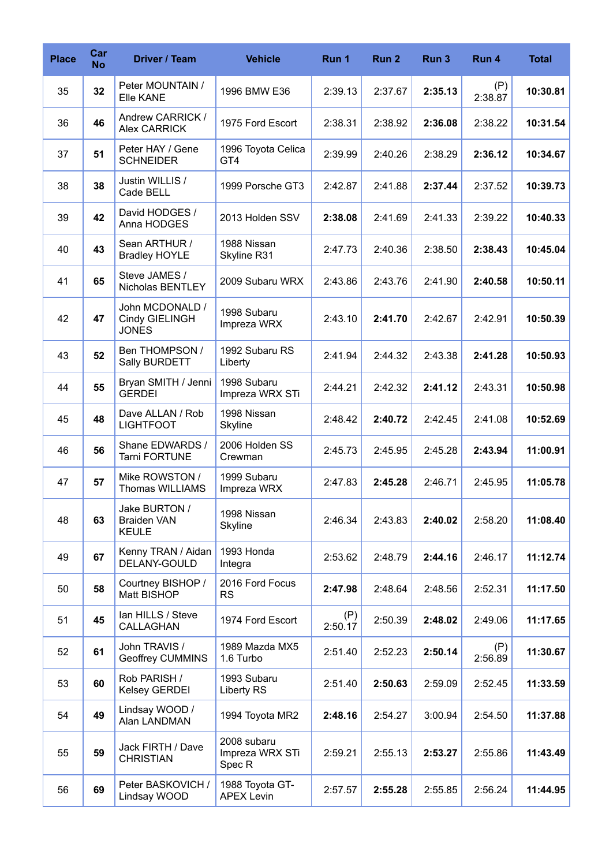| <b>Place</b> | Car<br><b>No</b> | <b>Driver / Team</b>                                | <b>Vehicle</b>                                      | Run 1          | Run 2   | Run <sub>3</sub> | Run 4          | <b>Total</b> |
|--------------|------------------|-----------------------------------------------------|-----------------------------------------------------|----------------|---------|------------------|----------------|--------------|
| 35           | 32               | Peter MOUNTAIN /<br>Elle KANE                       | 1996 BMW E36                                        | 2:39.13        | 2:37.67 | 2:35.13          | (P)<br>2:38.87 | 10:30.81     |
| 36           | 46               | Andrew CARRICK /<br>Alex CARRICK                    | 1975 Ford Escort                                    | 2:38.31        | 2:38.92 | 2:36.08          | 2:38.22        | 10:31.54     |
| 37           | 51               | Peter HAY / Gene<br><b>SCHNEIDER</b>                | 1996 Toyota Celica<br>GT4                           | 2:39.99        | 2:40.26 | 2:38.29          | 2:36.12        | 10:34.67     |
| 38           | 38               | Justin WILLIS /<br>Cade BELL                        | 1999 Porsche GT3                                    | 2:42.87        | 2:41.88 | 2:37.44          | 2:37.52        | 10:39.73     |
| 39           | 42               | David HODGES /<br>Anna HODGES                       | 2013 Holden SSV                                     | 2:38.08        | 2:41.69 | 2:41.33          | 2:39.22        | 10:40.33     |
| 40           | 43               | Sean ARTHUR /<br><b>Bradley HOYLE</b>               | 1988 Nissan<br>Skyline R31                          | 2:47.73        | 2:40.36 | 2:38.50          | 2:38.43        | 10:45.04     |
| 41           | 65               | Steve JAMES /<br>Nicholas BENTLEY                   | 2009 Subaru WRX                                     | 2:43.86        | 2:43.76 | 2:41.90          | 2:40.58        | 10:50.11     |
| 42           | 47               | John MCDONALD /<br>Cindy GIELINGH<br><b>JONES</b>   | 1998 Subaru<br>Impreza WRX                          | 2:43.10        | 2:41.70 | 2:42.67          | 2:42.91        | 10:50.39     |
| 43           | 52               | Ben THOMPSON /<br>Sally BURDETT                     | 1992 Subaru RS<br>Liberty                           | 2:41.94        | 2:44.32 | 2:43.38          | 2:41.28        | 10:50.93     |
| 44           | 55               | Bryan SMITH / Jenni<br><b>GERDEI</b>                | 1998 Subaru<br>Impreza WRX STi                      | 2:44.21        | 2:42.32 | 2:41.12          | 2:43.31        | 10:50.98     |
| 45           | 48               | Dave ALLAN / Rob<br><b>LIGHTFOOT</b>                | 1998 Nissan<br>Skyline                              | 2:48.42        | 2:40.72 | 2:42.45          | 2:41.08        | 10:52.69     |
| 46           | 56               | Shane EDWARDS /<br>Tarni FORTUNE                    | 2006 Holden SS<br>Crewman                           | 2:45.73        | 2:45.95 | 2:45.28          | 2:43.94        | 11:00.91     |
| 47           | 57               | Mike ROWSTON /<br><b>Thomas WILLIAMS</b>            | 1999 Subaru<br>Impreza WRX                          | 2:47.83        | 2:45.28 | 2:46.71          | 2:45.95        | 11:05.78     |
| 48           | 63               | Jake BURTON /<br><b>Braiden VAN</b><br><b>KEULE</b> | 1998 Nissan<br><b>Skyline</b>                       | 2:46.34        | 2:43.83 | 2:40.02          | 2:58.20        | 11:08.40     |
| 49           | 67               | Kenny TRAN / Aidan<br>DELANY-GOULD                  | 1993 Honda<br>Integra                               | 2:53.62        | 2:48.79 | 2:44.16          | 2:46.17        | 11:12.74     |
| 50           | 58               | Courtney BISHOP /<br>Matt BISHOP                    | 2016 Ford Focus<br><b>RS</b>                        | 2:47.98        | 2:48.64 | 2:48.56          | 2:52.31        | 11:17.50     |
| 51           | 45               | Ian HILLS / Steve<br>CALLAGHAN                      | 1974 Ford Escort                                    | (P)<br>2:50.17 | 2:50.39 | 2:48.02          | 2:49.06        | 11:17.65     |
| 52           | 61               | John TRAVIS /<br>Geoffrey CUMMINS                   | 1989 Mazda MX5<br>1.6 Turbo                         | 2:51.40        | 2:52.23 | 2:50.14          | (P)<br>2:56.89 | 11:30.67     |
| 53           | 60               | Rob PARISH /<br><b>Kelsey GERDEI</b>                | 1993 Subaru<br><b>Liberty RS</b>                    | 2:51.40        | 2:50.63 | 2:59.09          | 2:52.45        | 11:33.59     |
| 54           | 49               | Lindsay WOOD /<br>Alan LANDMAN                      | 1994 Toyota MR2                                     | 2:48.16        | 2:54.27 | 3:00.94          | 2:54.50        | 11:37.88     |
| 55           | 59               | Jack FIRTH / Dave<br><b>CHRISTIAN</b>               | 2008 subaru<br>Impreza WRX STi<br>Spec <sub>R</sub> | 2:59.21        | 2:55.13 | 2:53.27          | 2:55.86        | 11:43.49     |
| 56           | 69               | Peter BASKOVICH /<br>Lindsay WOOD                   | 1988 Toyota GT-<br><b>APEX Levin</b>                | 2:57.57        | 2:55.28 | 2:55.85          | 2:56.24        | 11:44.95     |